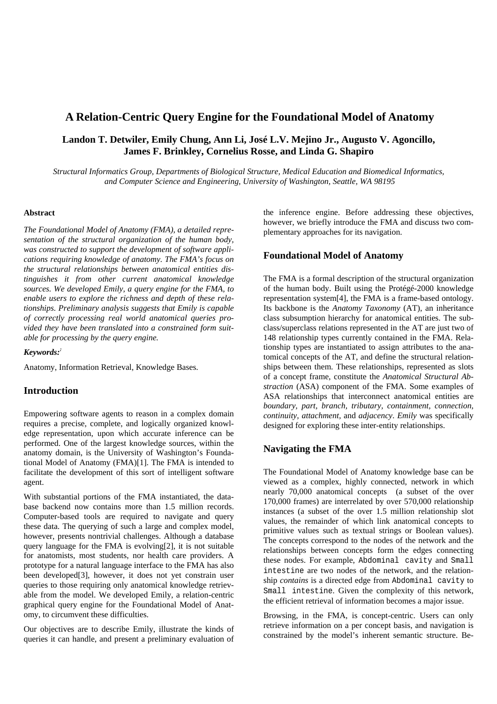# **A Relation-Centric Query Engine for the Foundational Model of Anatomy**

# **Landon T. Detwiler, Emily Chung, Ann Li, José L.V. Mejino Jr., Augusto V. Agoncillo, James F. Brinkley, Cornelius Rosse, and Linda G. Shapiro**

*Structural Informatics Group, Departments of Biological Structure, Medical Education and Biomedical Informatics, and Computer Science and Engineering, University of Washington, Seattle, WA 98195*

#### **Abstract**

*The Foundational Model of Anatomy (FMA), a detailed representation of the structural organization of the human body, was constructed to support the development of software applications requiring knowledge of anatomy. The FMA's focus on the structural relationships between anatomical entities distinguishes it from other current anatomical knowledge sources. We developed Emily, a query engine for the FMA, to enable users to explore the richness and depth of these relationships. Preliminary analysis suggests that Emily is capable of correctly processing real world anatomical queries provided they have been translated into a constrained form suitable for processing by the query engine.* 

#### *Keywords::*

Anatomy, Information Retrieval, Knowledge Bases.

# **Introduction**

Empowering software agents to reason in a complex domain requires a precise, complete, and logically organized knowledge representation, upon which accurate inference can be performed. One of the largest knowledge sources, within the anatomy domain, is the University of Washington's Foundational Model of Anatomy (FMA)[1]. The FMA is intended to facilitate the development of this sort of intelligent software agent.

With substantial portions of the FMA instantiated, the database backend now contains more than 1.5 million records. Computer-based tools are required to navigate and query these data. The querying of such a large and complex model, however, presents nontrivial challenges. Although a database query language for the FMA is evolving[2], it is not suitable for anatomists, most students, nor health care providers. A prototype for a natural language interface to the FMA has also been developed[3], however, it does not yet constrain user queries to those requiring only anatomical knowledge retrievable from the model. We developed Emily, a relation-centric graphical query engine for the Foundational Model of Anatomy, to circumvent these difficulties.

Our objectives are to describe Emily, illustrate the kinds of queries it can handle, and present a preliminary evaluation of

the inference engine. Before addressing these objectives, however, we briefly introduce the FMA and discuss two complementary approaches for its navigation.

#### **Foundational Model of Anatomy**

The FMA is a formal description of the structural organization of the human body. Built using the Protégé-2000 knowledge representation system[4], the FMA is a frame-based ontology. Its backbone is the *Anatomy Taxonomy* (AT), an inheritance class subsumption hierarchy for anatomical entities. The subclass/superclass relations represented in the AT are just two of 148 relationship types currently contained in the FMA. Relationship types are instantiated to assign attributes to the anatomical concepts of the AT, and define the structural relationships between them. These relationships, represented as slots of a concept frame, constitute the *Anatomical Structural Abstraction* (ASA) component of the FMA. Some examples of ASA relationships that interconnect anatomical entities are *boundary, part, branch, tributary, containment, connection, continuity, attachment,* and *adjacency*. *Emily* was specifically designed for exploring these inter-entity relationships.

# **Navigating the FMA**

The Foundational Model of Anatomy knowledge base can be viewed as a complex, highly connected, network in which nearly 70,000 anatomical concepts (a subset of the over 170,000 frames) are interrelated by over 570,000 relationship instances (a subset of the over 1.5 million relationship slot values, the remainder of which link anatomical concepts to primitive values such as textual strings or Boolean values). The concepts correspond to the nodes of the network and the relationships between concepts form the edges connecting these nodes. For example, Abdominal cavity and Small intestine are two nodes of the network, and the relationship *contains* is a directed edge from Abdominal cavity to Small intestine. Given the complexity of this network, the efficient retrieval of information becomes a major issue.

Browsing, in the FMA, is concept-centric. Users can only retrieve information on a per concept basis, and navigation is constrained by the model's inherent semantic structure. Be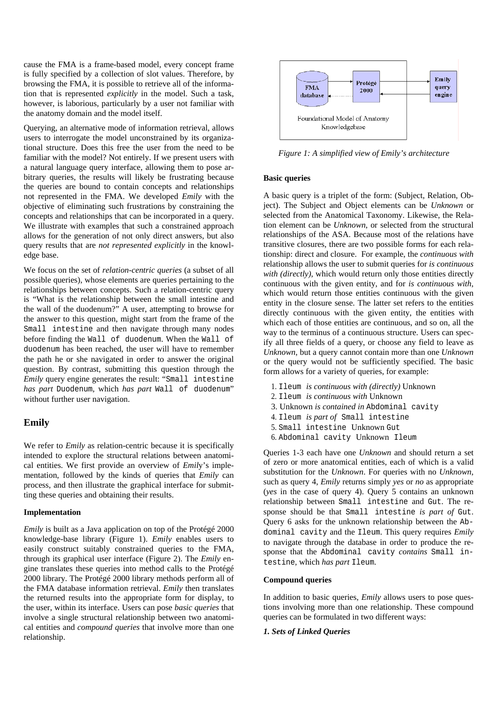cause the FMA is a frame-based model, every concept frame is fully specified by a collection of slot values. Therefore, by browsing the FMA, it is possible to retrieve all of the information that is represented *explicitly* in the model. Such a task, however, is laborious, particularly by a user not familiar with the anatomy domain and the model itself.

Querying, an alternative mode of information retrieval, allows users to interrogate the model unconstrained by its organizational structure. Does this free the user from the need to be familiar with the model? Not entirely. If we present users with a natural language query interface, allowing them to pose arbitrary queries, the results will likely be frustrating because the queries are bound to contain concepts and relationships not represented in the FMA. We developed *Emily* with the objective of eliminating such frustrations by constraining the concepts and relationships that can be incorporated in a query. We illustrate with examples that such a constrained approach allows for the generation of not only direct answers, but also query results that are *not represented explicitly* in the knowledge base.

We focus on the set of *relation-centric queries* (a subset of all possible queries), whose elements are queries pertaining to the relationships between concepts. Such a relation-centric query is "What is the relationship between the small intestine and the wall of the duodenum?" A user, attempting to browse for the answer to this question, might start from the frame of the Small intestine and then navigate through many nodes before finding the Wall of duodenum. When the Wall of duodenum has been reached, the user will have to remember the path he or she navigated in order to answer the original question. By contrast, submitting this question through the *Emily* query engine generates the result: "Small intestine *has part* Duodenum, which *has part* Wall of duodenum" without further user navigation.

### **Emily**

We refer to *Emily* as relation-centric because it is specifically intended to explore the structural relations between anatomical entities. We first provide an overview of *Emil*y's implementation, followed by the kinds of queries that *Emily* can process, and then illustrate the graphical interface for submitting these queries and obtaining their results.

#### **Implementation**

*Emily* is built as a Java application on top of the Protégé 2000 knowledge-base library (Figure 1). *Emily* enables users to easily construct suitably constrained queries to the FMA, through its graphical user interface (Figure 2). The *Emily* engine translates these queries into method calls to the Protégé 2000 library. The Protégé 2000 library methods perform all of the FMA database information retrieval. *Emily* then translates the returned results into the appropriate form for display, to the user, within its interface. Users can pose *basic queries* that involve a single structural relationship between two anatomical entities and *compound queries* that involve more than one relationship.



*Figure 1: A simplified view of Emily's architecture*

#### **Basic queries**

A basic query is a triplet of the form: (Subject, Relation, Object). The Subject and Object elements can be *Unknown* or selected from the Anatomical Taxonomy. Likewise, the Relation element can be *Unknown*, or selected from the structural relationships of the ASA. Because most of the relations have transitive closures, there are two possible forms for each relationship: direct and closure. For example, the *continuous with* relationship allows the user to submit queries for *is continuous with (directly)*, which would return only those entities directly continuous with the given entity, and for *is continuous with*, which would return those entities continuous with the given entity in the closure sense. The latter set refers to the entities directly continuous with the given entity, the entities with which each of those entities are continuous, and so on, all the way to the terminus of a continuous structure. Users can specify all three fields of a query, or choose any field to leave as *Unknown*, but a query cannot contain more than one *Unknown*  or the query would not be sufficiently specified. The basic form allows for a variety of queries, for example:

- 1. Ileum *is continuous with (directly)* Unknown
- 2. Ileum *is continuous with* Unknown
- 3. Unknown *is contained in* Abdominal cavity
- 4. Ileum *is part of* Small intestine
- 5. Small intestine Unknown Gut
- 6. Abdominal cavity Unknown Ileum

Queries 1-3 each have one *Unknown* and should return a set of zero or more anatomical entities, each of which is a valid substitution for the *Unknown*. For queries with no *Unknown*, such as query 4, *Emily* returns simply *yes* or *no* as appropriate (*yes* in the case of query 4). Query 5 contains an unknown relationship between Small intestine and Gut. The response should be that Small intestine *is part of* Gut. Query 6 asks for the unknown relationship between the Abdominal cavity and the Ileum. This query requires *Emily* to navigate through the database in order to produce the response that the Abdominal cavity *contains* Small intestine*,* which *has part* Ileum.

#### **Compound queries**

In addition to basic queries, *Emily* allows users to pose questions involving more than one relationship. These compound queries can be formulated in two different ways:

#### *1. Sets of Linked Queries*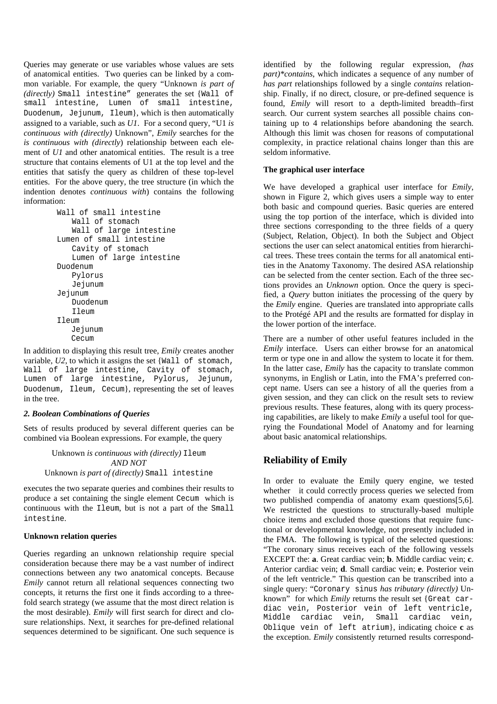Queries may generate or use variables whose values are sets of anatomical entities. Two queries can be linked by a common variable. For example, the query "Unknown *is part of (directly)* Small intestine" generates the set {Wall of small intestine, Lumen of small intestine, Duodenum, Jejunum, Ileum}, which is then automatically assigned to a variable, such as *U1*. For a second query, "U1 *is continuous with (directly)* Unknown", *Emily* searches for the *is continuous with (directly*) relationship between each element of *U1* and other anatomical entities. The result is a tree structure that contains elements of U1 at the top level and the entities that satisfy the query as children of these top-level entities. For the above query, the tree structure (in which the indention denotes *continuous with*) contains the following information:

| Wall of small intestine  |  |  |  |
|--------------------------|--|--|--|
| Wall of stomach          |  |  |  |
| Wall of large intestine  |  |  |  |
| Lumen of small intestine |  |  |  |
| Cavity of stomach        |  |  |  |
| Lumen of large intestine |  |  |  |
| Duodenum                 |  |  |  |
| Pylorus                  |  |  |  |
| Jejunum                  |  |  |  |
| Jejunum                  |  |  |  |
| Duodenum                 |  |  |  |
| Ileum                    |  |  |  |
| Tleum                    |  |  |  |
| Jejunum                  |  |  |  |
| Cecum                    |  |  |  |

In addition to displaying this result tree, *Emily* creates another variable,  $U2$ , to which it assigns the set {Wall of stomach, Wall of large intestine, Cavity of stomach, Lumen of large intestine, Pylorus, Jejunum, Duodenum, Ileum, Cecum}, representing the set of leaves in the tree.

#### *2. Boolean Combinations of Queries*

Sets of results produced by several different queries can be combined via Boolean expressions. For example, the query

Unknown *is continuous with (directly)* Ileum *AND NOT*  Unknown *is part of (directly)* Small intestine

executes the two separate queries and combines their results to produce a set containing the single element Cecum which is continuous with the Ileum, but is not a part of the Small intestine.

#### **Unknown relation queries**

Queries regarding an unknown relationship require special consideration because there may be a vast number of indirect connections between any two anatomical concepts. Because *Emily* cannot return all relational sequences connecting two concepts, it returns the first one it finds according to a threefold search strategy (we assume that the most direct relation is the most desirable). *Emily* will first search for direct and closure relationships. Next, it searches for pre-defined relational sequences determined to be significant. One such sequence is

identified by the following regular expression, *(has part)\*contains*, which indicates a sequence of any number of *has part* relationships followed by a single *contains* relationship. Finally, if no direct, closure, or pre-defined sequence is found, *Emily* will resort to a depth-limited breadth–first search. Our current system searches all possible chains containing up to 4 relationships before abandoning the search. Although this limit was chosen for reasons of computational complexity, in practice relational chains longer than this are seldom informative.

### **The graphical user interface**

We have developed a graphical user interface for *Emily*, shown in Figure 2, which gives users a simple way to enter both basic and compound queries. Basic queries are entered using the top portion of the interface, which is divided into three sections corresponding to the three fields of a query (Subject, Relation, Object). In both the Subject and Object sections the user can select anatomical entities from hierarchical trees. These trees contain the terms for all anatomical entities in the Anatomy Taxonomy. The desired ASA relationship can be selected from the center section. Each of the three sections provides an *Unknown* option. Once the query is specified, a *Query* button initiates the processing of the query by the *Emily* engine. Queries are translated into appropriate calls to the Protégé API and the results are formatted for display in the lower portion of the interface.

There are a number of other useful features included in the *Emily* interface. Users can either browse for an anatomical term or type one in and allow the system to locate it for them. In the latter case, *Emily* has the capacity to translate common synonyms, in English or Latin, into the FMA's preferred concept name. Users can see a history of all the queries from a given session, and they can click on the result sets to review previous results. These features, along with its query processing capabilities, are likely to make *Emily* a useful tool for querying the Foundational Model of Anatomy and for learning about basic anatomical relationships.

# **Reliability of Emily**

In order to evaluate the Emily query engine, we tested whether it could correctly process queries we selected from two published compendia of anatomy exam questions[5,6]. We restricted the questions to structurally-based multiple choice items and excluded those questions that require functional or developmental knowledge, not presently included in the FMA. The following is typical of the selected questions: "The coronary sinus receives each of the following vessels EXCEPT the: **a**. Great cardiac vein; **b**. Middle cardiac vein; **c**. Anterior cardiac vein; **d**. Small cardiac vein; **e**. Posterior vein of the left ventricle." This question can be transcribed into a single query: "Coronary sinus *has tributary (directly)* Unknown" for which *Emily* returns the result set {Great cardiac vein, Posterior vein of left ventricle, Middle cardiac vein, Small cardiac vein, Oblique vein of left atrium}, indicating choice **c** as the exception. *Emily* consistently returned results correspond-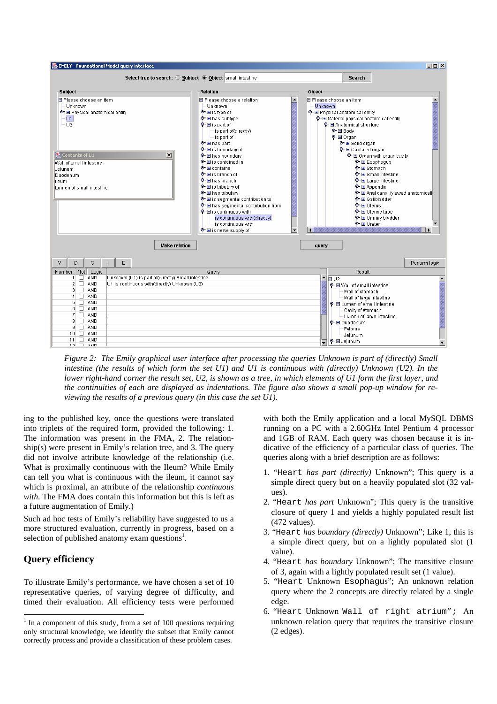

*Figure 2: The Emily graphical user interface after processing the queries Unknown is part of (directly) Small intestine (the results of which form the set U1) and U1 is continuous with (directly) Unknown (U2). In the lower right-hand corner the result set, U2, is shown as a tree, in which elements of U1 form the first layer, and the continuities of each are displayed as indentations. The figure also shows a small pop-up window for reviewing the results of a previous query (in this case the set U1).*

ing to the published key, once the questions were translated into triplets of the required form, provided the following: 1. The information was present in the FMA, 2. The relationship(s) were present in Emily's relation tree, and 3. The query did not involve attribute knowledge of the relationship (i.e. What is proximally continuous with the Ileum? While Emily can tell you what is continuous with the ileum, it cannot say which is proximal, an attribute of the relationship *continuous with*. The FMA does contain this information but this is left as a future augmentation of Emily.)

Such ad hoc tests of Emily's reliability have suggested to us a more structured evaluation, currently in progress, based on a selection of published anatomy exam questions<sup>[1](#page-3-0)</sup>.

### **Query efficiency**

To illustrate Emily's performance, we have chosen a set of 10 representative queries, of varying degree of difficulty, and timed their evaluation. All efficiency tests were performed with both the Emily application and a local MySQL DBMS running on a PC with a 2.60GHz Intel Pentium 4 processor and 1GB of RAM. Each query was chosen because it is indicative of the efficiency of a particular class of queries. The queries along with a brief description are as follows:

- 1. "Heart *has part (directly)* Unknown"; This query is a simple direct query but on a heavily populated slot (32 values).
- 2. "Heart *has part* Unknown"; This query is the transitive closure of query 1 and yields a highly populated result list (472 values).
- 3. "Heart *has boundary (directly)* Unknown"; Like 1, this is a simple direct query, but on a lightly populated slot (1 value).
- 4. "Heart *has boundary* Unknown"; The transitive closure of 3, again with a lightly populated result set (1 value).
- 5. "Heart Unknown Esophagus"; An unknown relation query where the 2 concepts are directly related by a single edge.
- 6. "Heart Unknown Wall of right atrium"; An unknown relation query that requires the transitive closure (2 edges).

<span id="page-3-0"></span><sup>|&</sup>lt;br>|<br>|  $1$  In a component of this study, from a set of 100 questions requiring only structural knowledge, we identify the subset that Emily cannot correctly process and provide a classification of these problem cases.